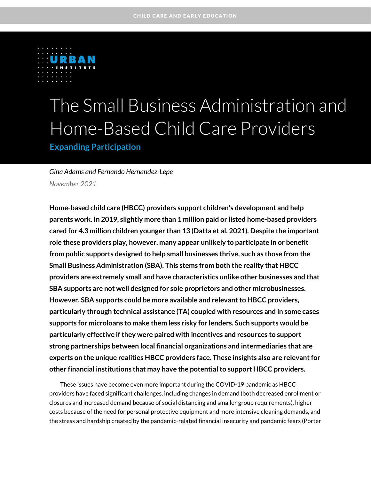

# The Small Business Administration and Home-Based Child Care Providers

**Expanding Participation**

*Gina Adams and Fernando Hernandez-Lepe November 2021*

**Home-based child care (HBCC) providers support children's development and help parents work. In 2019, slightly more than 1 million paid or listed home-based providers cared for 4.3 million children younger than 13 (Datta et al. 2021). Despite the important role these providers play, however, many appear unlikely to participate in or benefit from public supports designed to help small businesses thrive, such as those from the Small Business Administration (SBA). This stems from both the reality that HBCC providers are extremely small and have characteristics unlike other businesses and that SBA supports are not well designed for sole proprietors and other microbusinesses. However, SBA supports could be more available and relevant to HBCC providers, particularly through technical assistance (TA) coupled with resources and in some cases supports for microloans to make them less risky for lenders. Such supports would be particularly effective if they were paired with incentives and resources to support strong partnerships between local financial organizations and intermediaries that are experts on the unique realities HBCC providers face. These insights also are relevant for other financial institutions that may have the potential to support HBCC providers.**

These issues have become even more important during the COVID-19 pandemic as HBCC providers have faced significant challenges, including changes in demand (both decreased enrollment or closures and increased demand because of social distancing and smaller group requirements), higher costs because of the need for personal protective equipment and more intensive cleaning demands, and the stress and hardship created by the pandemic-related financial insecurity and pandemic fears (Porter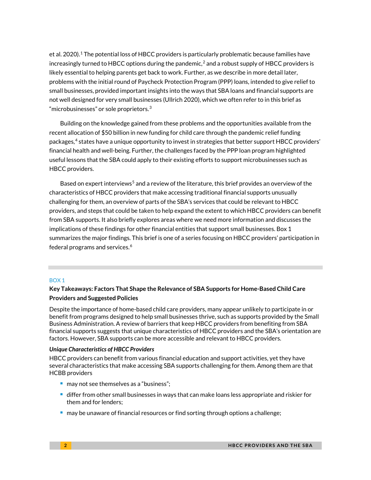et al. 2020). $^1$  $^1$  The potential loss of HBCC providers is particularly problematic because families have increasingly turned to HBCC options during the pandemic,<sup>[2](#page-15-1)</sup> and a robust supply of HBCC providers is likely essential to helping parents get back to work. Further, as we describe in more detail later, problems with the initial round of Paycheck Protection Program (PPP) loans, intended to give relief to small businesses, provided important insights into the ways that SBA loans and financial supports are not well designed for very small businesses (Ullrich 2020), which we often refer to in this brief as "microbusinesses" or sole proprietors. $^3$  $^3$ 

Building on the knowledge gained from these problems and the opportunities available from the recent allocation of \$50 billion in new funding for child care through the pandemic relief funding packages, [4](#page-15-3) states have a unique opportunity to invest in strategies that better support HBCC providers' financial health and well-being. Further, the challenges faced by the PPP loan program highlighted useful lessons that the SBA could apply to their existing efforts to support microbusinesses such as HBCC providers.

Based on expert interviews<sup>[5](#page-15-4)</sup> and a review of the literature, this brief provides an overview of the characteristics of HBCC providers that make accessing traditional financial supports unusually challenging for them, an overview of parts of the SBA's services that could be relevant to HBCC providers, and steps that could be taken to help expand the extent to which HBCC providers can benefit from SBA supports. It also briefly explores areas where we need more information and discusses the implications of these findings for other financial entities that support small businesses. Box 1 summarizes the major findings. This brief is one of a series focusing on HBCC providers' participation in federal programs and services. [6](#page-15-5)

#### BOX 1

#### **Key Takeaways: Factors That Shape the Relevance of SBA Supports for Home-Based Child Care Providers and Suggested Policies**

Despite the importance of home-based child care providers, many appear unlikely to participate in or benefit from programs designed to help small businesses thrive, such as supports provided by the Small Business Administration. A review of barriers that keep HBCC providers from benefiting from SBA financial supports suggests that unique characteristics of HBCC providers and the SBA's orientation are factors. However, SBA supports can be more accessible and relevant to HBCC providers.

#### *Unique Characteristics of HBCC Providers*

HBCC providers can benefit from various financial education and support activities, yet they have several characteristics that make accessing SBA supports challenging for them. Among them are that HCBB providers

- may not see themselves as a "business";
- differ from other small businesses in ways that can make loans less appropriate and riskier for them and for lenders;
- $\blacksquare$  may be unaware of financial resources or find sorting through options a challenge;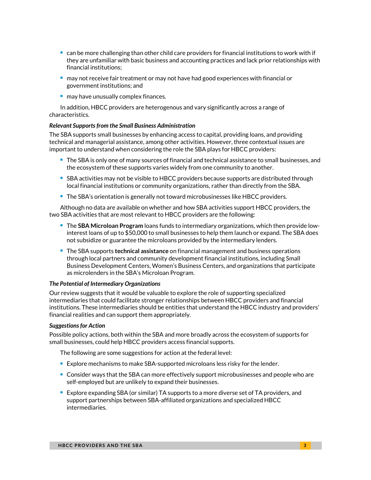- $\blacksquare$  can be more challenging than other child care providers for financial institutions to work with if they are unfamiliar with basic business and accounting practices and lack prior relationships with financial institutions;
- $\blacksquare$  may not receive fair treatment or may not have had good experiences with financial or government institutions; and
- may have unusually complex finances.

In addition, HBCC providers are heterogenous and vary significantly across a range of characteristics.

#### *Relevant Supports from the Small Business Administration*

The SBA supports small businesses by enhancing access to capital, providing loans, and providing technical and managerial assistance, among other activities. However, three contextual issues are important to understand when considering the role the SBA plays for HBCC providers:

- **The SBA is only one of many sources of financial and technical assistance to small businesses, and** the ecosystem of these supports varies widely from one community to another.
- SBA activities may not be visible to HBCC providers because supports are distributed through local financial institutions or community organizations, rather than directly from the SBA.
- **The SBA's orientation is generally not toward microbusinesses like HBCC providers.**

Although no data are available on whether and how SBA activities support HBCC providers, the two SBA activities that are most relevant to HBCC providers are the following:

- The **SBA Microloan Program** loans funds to intermediary organizations, which then provide lowinterest loans of up to \$50,000 to small businesses to help them launch or expand. The SBA does not subsidize or guarantee the microloans provided by the intermediary lenders.
- The SBA supports **technical assistance** on financial management and business operations through local partners and community development financial institutions, including Small Business Development Centers, Women's Business Centers, and organizations that participate as microlenders in the SBA's Microloan Program.

#### *The Potential of Intermediary Organizations*

Our review suggests that it would be valuable to explore the role of supporting specialized intermediaries that could facilitate stronger relationships between HBCC providers and financial institutions. These intermediaries should be entities that understand the HBCC industry and providers' financial realities and can support them appropriately.

#### *Suggestions for Action*

Possible policy actions, both within the SBA and more broadly across the ecosystem of supports for small businesses, could help HBCC providers access financial supports.

The following are some suggestions for action at the federal level:

- Explore mechanisms to make SBA-supported microloans less risky for the lender.
- Consider ways that the SBA can more effectively support microbusinesses and people who are self-employed but are unlikely to expand their businesses.
- Explore expanding SBA (or similar) TA supports to a more diverse set of TA providers, and support partnerships between SBA-affiliated organizations and specialized HBCC intermediaries.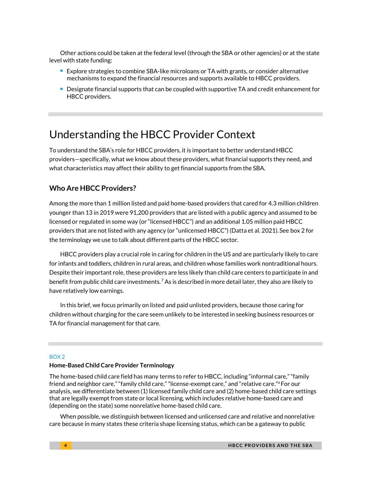Other actions could be taken at the federal level (through the SBA or other agencies) or at the state level with state funding:

- Explore strategies to combine SBA-like microloans or TA with grants, or consider alternative mechanisms to expand the financial resources and supports available to HBCC providers.
- Designate financial supports that can be coupled with supportive TA and credit enhancement for HBCC providers.

### Understanding the HBCC Provider Context

To understand the SBA's role for HBCC providers, it is important to better understand HBCC providers—specifically, what we know about these providers, what financial supports they need, and what characteristics may affect their ability to get financial supports from the SBA.

#### **Who Are HBCC Providers?**

Among the more than 1 million listed and paid home-based providers that cared for 4.3 million children younger than 13 in 2019 were 91,200 providers that are listed with a public agency and assumed to be licensed or regulated in some way (or "licensed HBCC") and an additional 1.05 million paid HBCC providers that are not listed with any agency (or "unlicensed HBCC") (Datta et al. 2021).See box 2 for the terminology we use to talk about different parts of the HBCC sector.

HBCC providers play a crucial role in caring for children in the US and are particularly likely to care for infants and toddlers, children in rural areas, and children whose families work nontraditional hours. Despite their important role, these providers are less likely than child care centers to participate in and benefit from public child care investments.[7](#page-15-6) As is described in more detail later, they also are likely to have relatively low earnings.

In this brief, we focus primarily on listed and paid unlisted providers, because those caring for children without charging for the care seem unlikely to be interested in seeking business resources or TA for financial management for that care.

#### BOX 2

#### **Home-Based Child Care Provider Terminology**

The home-based child care field has many terms to refer to HBCC, including "informal care," "family friend and neighbor care," "family child care," "license-exempt care," and "relative care."<sup>a</sup> For our analysis, we differentiate between (1) licensed family child care and (2) home-based child care settings that are legally exempt from state or local licensing, which includes relative home-based care and (depending on the state) some nonrelative home-based child care.

When possible, we distinguish between licensed and unlicensed care and relative and nonrelative care because in many states these criteria shape licensing status, which can be a gateway to public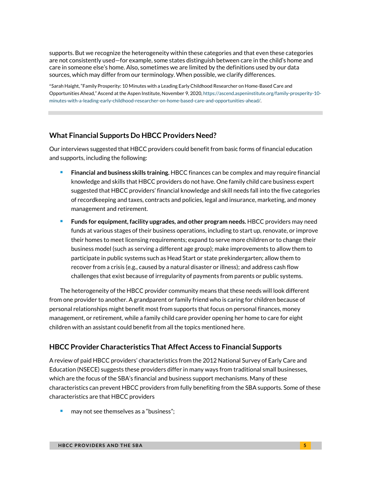supports. But we recognize the heterogeneity within these categories and that even these categories are not consistently used—for example, some states distinguish between care in the child's home and care in someone else's home. Also, sometimes we are limited by the definitions used by our data sources, which may differ from our terminology. When possible, we clarify differences.

a Sarah Haight, "Family Prosperity: 10 Minutes with a Leading Early Childhood Researcher on Home-Based Care and Opportunities Ahead," Ascend at the Aspen Institute*,* November 9, 2020[, https://ascend.aspeninstitute.org/family-prosperity-10](https://ascend.aspeninstitute.org/family-prosperity-10-minutes-with-a-leading-early-childhood-researcher-on-home-based-care-and-opportunities-ahead/) [minutes-with-a-leading-early-childhood-researcher-on-home-based-care-and-opportunities-ahead/.](https://ascend.aspeninstitute.org/family-prosperity-10-minutes-with-a-leading-early-childhood-researcher-on-home-based-care-and-opportunities-ahead/)

#### **What Financial Supports Do HBCC Providers Need?**

Our interviews suggested that HBCC providers could benefit from basic forms of financial education and supports, including the following:

- **Financial and business skills training.** HBCC finances can be complex and may require financial knowledge and skills that HBCC providers do not have. One family child care business expert suggested that HBCC providers' financial knowledge and skill needs fall into the five categories of recordkeeping and taxes, contracts and policies, legal and insurance, marketing, and money management and retirement.
- **Funds for equipment, facility upgrades, and other program needs.** HBCC providers may need funds at various stages of their business operations, including to start up, renovate, or improve their homes to meet licensing requirements; expand to serve more children or to change their business model (such as serving a different age group); make improvements to allow them to participate in public systems such as Head Start or state prekindergarten; allow them to recover from a crisis (e.g., caused by a natural disaster or illness); and address cash flow challenges that exist because of irregularity of payments from parents or public systems.

The heterogeneity of the HBCC provider community means that these needs will look different from one provider to another. A grandparent or family friend who is caring for children because of personal relationships might benefit most from supports that focus on personal finances, money management, or retirement, while a family child care provider opening her home to care for eight children with an assistant could benefit from all the topics mentioned here.

#### **HBCC Provider Characteristics That Affect Access to Financial Supports**

A review of paid HBCC providers' characteristics from the 2012 National Survey of Early Care and Education (NSECE) suggests these providers differ in many ways from traditional small businesses, which are the focus of the SBA's financial and business support mechanisms. Many of these characteristics can prevent HBCC providers from fully benefiting from the SBA supports. Some of these characteristics are that HBCC providers

**nay not see themselves as a "business";**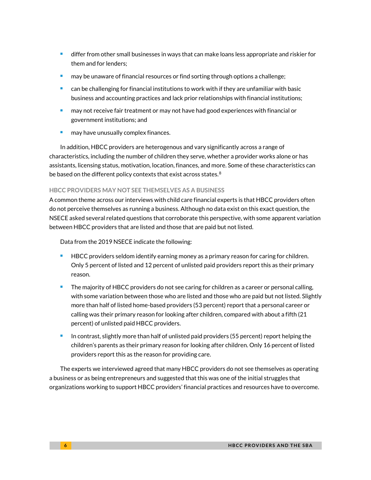- **If the starf** in the small businesses in ways that can make loans less appropriate and riskier for them and for lenders;
- may be unaware of financial resources or find sorting through options a challenge;
- can be challenging for financial institutions to work with if they are unfamiliar with basic business and accounting practices and lack prior relationships with financial institutions;
- may not receive fair treatment or may not have had good experiences with financial or government institutions; and
- may have unusually complex finances.

In addition, HBCC providers are heterogenous and vary significantly across a range of characteristics, including the number of children they serve, whether a provider works alone or has assistants, licensing status, motivation, location, finances, and more. Some of these characteristics can be based on the different policy contexts that exist across states. $8$ 

#### **HBCC PROVIDERS MAY NOT SEE THEMSELVES AS A BUSINESS**

A common theme across our interviews with child care financial experts is that HBCC providers often do not perceive themselves as running a business. Although no data exist on this exact question, the NSECE asked several related questions that corroborate this perspective, with some apparent variation between HBCC providers that are listed and those that are paid but not listed.

Data from the 2019 NSECE indicate the following:

- **HBCC** providers seldom identify earning money as a primary reason for caring for children. Only 5 percent of listed and 12 percent of unlisted paid providers report this as their primary reason.
- The majority of HBCC providers do not see caring for children as a career or personal calling, with some variation between those who are listed and those who are paid but not listed. Slightly more than half of listed home-based providers (53 percent) report that a personal career or calling was their primary reason for looking after children, compared with about a fifth (21 percent) of unlisted paid HBCC providers.
- In contrast, slightly more than half of unlisted paid providers (55 percent) report helping the children's parents as their primary reason for looking after children. Only 16 percent of listed providers report this as the reason for providing care.

The experts we interviewed agreed that many HBCC providers do not see themselves as operating a business or as being entrepreneurs and suggested that this was one of the initial struggles that organizations working to support HBCC providers' financial practices and resources have to overcome.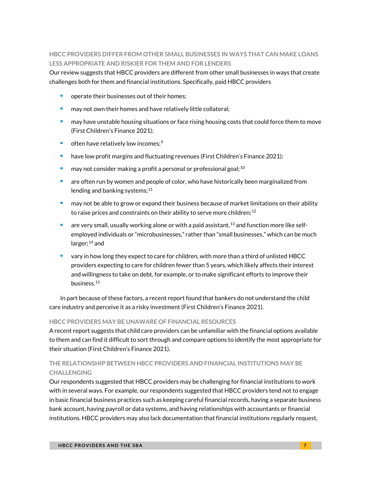#### **HBCC PROVIDERS DIFFER FROM OTHER SMALL BUSINESSES IN WAYS THAT CAN MAKE LOANS LESS APPROPRIATE AND RISKIER FOR THEM AND FOR LENDERS**

Our review suggests that HBCC providers are different from other small businesses in ways that create challenges both for them and financial institutions. Specifically, paid HBCC providers

- operate their businesses out of their homes;
- may not own their homes and have relatively little collateral;
- may have unstable housing situations or face rising housing costs that could force them to move (First Children's Finance 2021);
- $\blacksquare$  often have relatively low incomes;<sup>[9](#page-15-8)</sup>
- **have low profit margins and fluctuating revenues (First Children's Finance 2021);**
- may not consider making a profit a personal or professional goal;<sup>[10](#page-15-9)</sup>
- are often run by women and people of color, who have historically been marginalized from lending and banking systems; $11$
- may not be able to grow or expand their business because of market limitations on their ability to raise prices and constraints on their ability to serve more children;  $^{\rm 12}$  $^{\rm 12}$  $^{\rm 12}$
- are very small, usually working alone or with a paid assistant,  $^{13}$  $^{13}$  $^{13}$  and function more like selfemployed individuals or "microbusinesses," rather than "small businesses," which can be much larger; $^{14}$  $^{14}$  $^{14}$  and
- vary in how long they expect to care for children, with more than a third of unlisted HBCC providers expecting to care for children fewer than 5 years, which likely affects their interest and willingness to take on debt, for example, or to make significant efforts to improve their business.[15](#page-15-14)

In part because of these factors, a recent report found that bankers do not understand the child care industry and perceive it as a risky investment (First Children's Finance 2021).

#### **HBCC PROVIDERS MAY BE UNAWARE OF FINANCIAL RESOURCES**

A recent report suggests that child care providers can be unfamiliar with the financial options available to them and can find it difficult to sort through and compare options to identify the most appropriate for their situation (First Children's Finance 2021).

#### **THE RELATIONSHIP BETWEEN HBCC PROVIDERS AND FINANCIAL INSTITUTIONS MAY BE CHALLENGING**

Our respondents suggested that HBCC providers may be challenging for financial institutions to work with in several ways. For example, our respondents suggested that HBCC providers tend not to engage in basic financial business practices such as keeping careful financial records, having a separate business bank account, having payroll or data systems, and having relationships with accountants or financial institutions. HBCC providers may also lack documentation that financial institutions regularly request,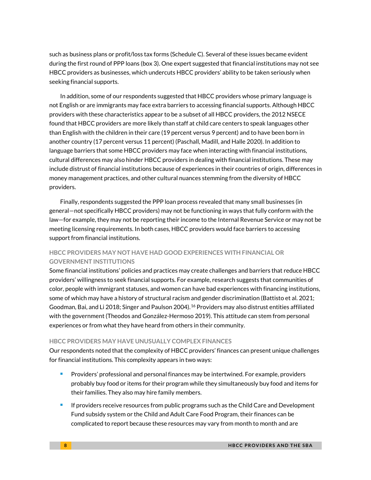such as business plans or profit/loss tax forms (Schedule C). Several of these issues became evident during the first round of PPP loans (box 3). One expert suggested that financial institutions may not see HBCC providers as businesses, which undercuts HBCC providers' ability to be taken seriously when seeking financial supports.

In addition, some of our respondents suggested that HBCC providers whose primary language is not English or are immigrants may face extra barriers to accessing financial supports. Although HBCC providers with these characteristics appear to be a subset of all HBCC providers, the 2012 NSECE found that HBCC providers are more likely than staff at child care centers to speak languages other than English with the children in their care (19 percent versus 9 percent) and to have been born in another country (17 percent versus 11 percent) (Paschall, Madill, and Halle 2020). In addition to language barriers that some HBCC providers may face when interacting with financial institutions, cultural differences may also hinder HBCC providers in dealing with financial institutions. These may include distrust of financial institutions because of experiences in their countries of origin, differences in money management practices, and other cultural nuances stemming from the diversity of HBCC providers.

Finally, respondents suggested the PPP loan process revealed that many small businesses (in general—not specifically HBCC providers) may not be functioning in ways that fully conform with the law—for example, they may not be reporting their income to the Internal Revenue Service or may not be meeting licensing requirements. In both cases, HBCC providers would face barriers to accessing support from financial institutions.

#### **HBCC PROVIDERS MAY NOT HAVE HAD GOOD EXPERIENCES WITH FINANCIAL OR GOVERNMENT INSTITUTIONS**

Some financial institutions' policies and practices may create challenges and barriers that reduce HBCC providers' willingness to seek financial supports. For example, research suggests that communities of color, people with immigrant statuses, and women can have bad experiences with financing institutions, some of which may have a history of structural racism and gender discrimination (Battisto et al. 2021; Goodman, Bai, and Li 2018; Singer and Paulson 2004).  $^{16}$  $^{16}$  $^{16}$  Providers may also distrust entities affiliated with the government (Theodos and González-Hermoso 2019). This attitude can stem from personal experiences or from what they have heard from others in their community.

#### **HBCC PROVIDERS MAY HAVE UNUSUALLY COMPLEX FINANCES**

Our respondents noted that the complexity of HBCC providers' finances can present unique challenges for financial institutions. This complexity appears in two ways:

- **Providers' professional and personal finances may be intertwined. For example, providers** probably buy food or items for their program while they simultaneously buy food and items for their families. They also may hire family members.
- **If providers receive resources from public programs such as the Child Care and Development** Fund subsidy system or the Child and Adult Care Food Program, their finances can be complicated to report because these resources may vary from month to month and are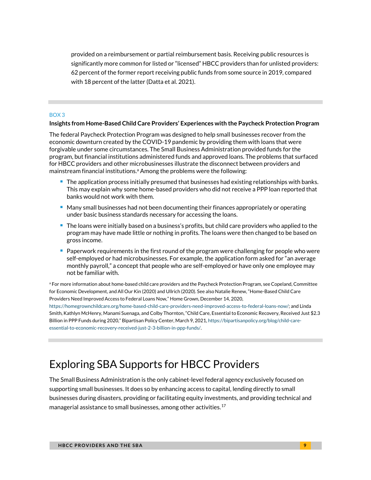provided on a reimbursement or partial reimbursement basis. Receiving public resources is significantly more common for listed or "licensed" HBCC providers than for unlisted providers: 62 percent of the former report receiving public funds from some source in 2019, compared with 18 percent of the latter (Datta et al. 2021).

#### BOX 3

#### **Insights from Home-Based Child Care Providers' Experiences with the Paycheck Protection Program**

The federal Paycheck Protection Program was designed to help small businesses recover from the economic downturn created by the COVID-19 pandemic by providing them with loans that were forgivable under some circumstances. The Small Business Administration provided funds for the program, but financial institutions administered funds and approved loans. The problems that surfaced for HBCC providers and other microbusinesses illustrate the disconnect between providers and mainstream financial institutions.<sup>a</sup> Among the problems were the following:

- **The application process initially presumed that businesses had existing relationships with banks.** This may explain why some home-based providers who did not receive a PPP loan reported that banks would not work with them.
- **Many small businesses had not been documenting their finances appropriately or operating** under basic business standards necessary for accessing the loans.
- **The loans were initially based on a business's profits, but child care providers who applied to the** program may have made little or nothing in profits. The loans were then changed to be based on gross income.
- **Paperwork requirements in the first round of the program were challenging for people who were** self-employed or had microbusinesses. For example, the application form asked for "an average monthly payroll," a concept that people who are self-employed or have only one employee may not be familiar with.

<sup>a</sup> For more information about home-based child care providers and the Paycheck Protection Program, see Copeland, Committee for Economic Development, and All Our Kin (2020) and Ullrich (2020). See also Natalie Renew, "Home-Based Child Care Providers Need Improved Access to Federal Loans Now," Home Grown, December 14, 2020,

[https://homegrownchildcare.org/home-based-child-care-providers-need-improved-access-to-federal-loans-now/;](https://homegrownchildcare.org/home-based-child-care-providers-need-improved-access-to-federal-loans-now/) and Linda Smith, Kathlyn McHenry, Manami Suenaga, and Colby Thornton, "Child Care, Essential to Economic Recovery, Received Just \$2.3 Billion in PPP Funds during 2020," Bipartisan Policy Center, March 9, 2021[, https://bipartisanpolicy.org/blog/child-care](https://bipartisanpolicy.org/blog/child-care-essential-to-economic-recovery-received-just-2-3-billion-in-ppp-funds/)[essential-to-economic-recovery-received-just-2-3-billion-in-ppp-funds/.](https://bipartisanpolicy.org/blog/child-care-essential-to-economic-recovery-received-just-2-3-billion-in-ppp-funds/)

# Exploring SBA Supports for HBCC Providers

The Small Business Administration is the only cabinet-level federal agency exclusively focused on supporting small businesses. It does so by enhancing access to capital, lending directly to small businesses during disasters, providing or facilitating equity investments, and providing technical and managerial assistance to small businesses, among other activities.<sup>[17](#page-15-16)</sup>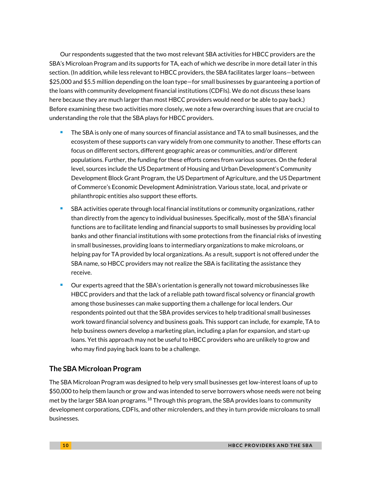Our respondents suggested that the two most relevant SBA activities for HBCC providers are the SBA's Microloan Program and its supports for TA, each of which we describe in more detail later in this section. (In addition, while less relevant to HBCC providers, the SBA facilitates larger loans—between \$25,000 and \$5.5 million depending on the loan type—for small businesses by guaranteeing a portion of the loans with community development financial institutions (CDFIs). We do not discuss these loans here because they are much larger than most HBCC providers would need or be able to pay back.) Before examining these two activities more closely, we note a few overarching issues that are crucial to understanding the role that the SBA plays for HBCC providers.

- **The SBA is only one of many sources of financial assistance and TA to small businesses, and the** ecosystem of these supports can vary widely from one community to another. These efforts can focus on different sectors, different geographic areas or communities, and/or different populations. Further, the funding for these efforts comes from various sources. On the federal level, sources include the US Department of Housing and Urban Development's Community Development Block Grant Program, the US Department of Agriculture, and the US Department of Commerce's Economic Development Administration. Various state, local, and private or philanthropic entities also support these efforts.
- SBA activities operate through local financial institutions or community organizations, rather than directly from the agency to individual businesses. Specifically, most of the SBA's financial functions are to facilitate lending and financial supports to small businesses by providing local banks and other financial institutions with some protections from the financial risks of investing in small businesses, providing loans to intermediary organizations to make microloans, or helping pay for TA provided by local organizations. As a result, support is not offered under the SBA name, so HBCC providers may not realize the SBA is facilitating the assistance they receive.
- Our experts agreed that the SBA's orientation is generally not toward microbusinesses like HBCC providers and that the lack of a reliable path toward fiscal solvency or financial growth among those businesses can make supporting them a challenge for local lenders. Our respondents pointed out that the SBA provides services to help traditional small businesses work toward financial solvency and business goals. This support can include, for example, TA to help business owners develop a marketing plan, including a plan for expansion, and start-up loans. Yet this approach may not be useful to HBCC providers who are unlikely to grow and who may find paying back loans to be a challenge.

#### **The SBA Microloan Program**

The SBA Microloan Program was designed to help very small businesses get low-interest loans of up to \$50,000 to help them launch or grow and was intended to serve borrowers whose needs were not being met by the larger SBA loan programs.  $^{18}$  $^{18}$  $^{18}$  Through this program, the SBA provides loans to community development corporations, CDFIs, and other microlenders, and they in turn provide microloans to small businesses.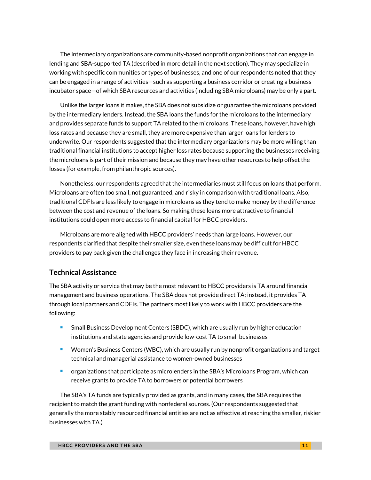The intermediary organizations are community-based nonprofit organizations that can engage in lending and SBA-supported TA (described in more detail in the next section). They may specialize in working with specific communities or types of businesses, and one of our respondents noted that they can be engaged in a range of activities—such as supporting a business corridor or creating a business incubator space—of which SBA resources and activities (including SBA microloans) may be only a part.

Unlike the larger loans it makes, the SBA does not subsidize or guarantee the microloans provided by the intermediary lenders. Instead, the SBA loans the funds for the microloans to the intermediary and provides separate funds to support TA related to the microloans. These loans, however, have high loss rates and because they are small, they are more expensive than larger loans for lenders to underwrite. Our respondents suggested that the intermediary organizations may be more willing than traditional financial institutions to accept higher loss rates because supporting the businesses receiving the microloans is part of their mission and because they may have other resources to help offset the losses (for example, from philanthropic sources).

Nonetheless, our respondents agreed that the intermediaries must still focus on loans that perform. Microloans are often too small, not guaranteed, and risky in comparison with traditional loans. Also, traditional CDFIs are less likely to engage in microloans as they tend to make money by the difference between the cost and revenue of the loans. So making these loans more attractive to financial institutions could open more access to financial capital for HBCC providers.

Microloans are more aligned with HBCC providers' needs than large loans. However, our respondents clarified that despite their smaller size, even these loans may be difficult for HBCC providers to pay back given the challenges they face in increasing their revenue.

#### **Technical Assistance**

The SBA activity or service that may be the most relevant to HBCC providers is TA around financial management and business operations. The SBA does not provide direct TA; instead, it provides TA through local partners and CDFIs. The partners most likely to work with HBCC providers are the following:

- Small Business Development Centers (SBDC), which are usually run by higher education institutions and state agencies and provide low-cost TA to small businesses
- **Women's Business Centers (WBC), which are usually run by nonprofit organizations and target** technical and managerial assistance to women-owned businesses
- **•** organizations that participate as microlenders in the SBA's Microloans Program, which can receive grants to provide TA to borrowers or potential borrowers

The SBA's TA funds are typically provided as grants, and in many cases, the SBA requires the recipient to match the grant funding with nonfederal sources. (Our respondents suggested that generally the more stably resourced financial entities are not as effective at reaching the smaller, riskier businesses with TA.)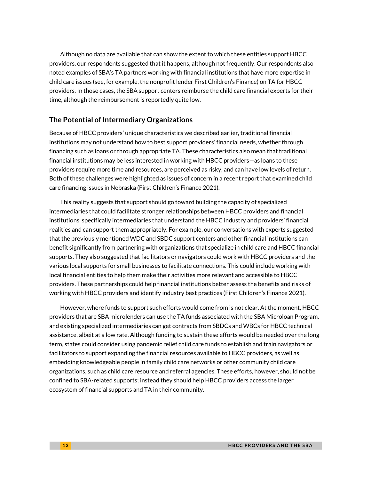Although no data are available that can show the extent to which these entities support HBCC providers, our respondents suggested that it happens, although not frequently. Our respondents also noted examples of SBA's TA partners working with financial institutions that have more expertise in child care issues (see, for example, the nonprofit lender First Children's Finance) on TA for HBCC providers. In those cases, the SBA support centers reimburse the child care financial experts for their time, although the reimbursement is reportedly quite low.

#### **The Potential of Intermediary Organizations**

Because of HBCC providers' unique characteristics we described earlier, traditional financial institutions may not understand how to best support providers' financial needs, whether through financing such as loans or through appropriate TA. These characteristics also mean that traditional financial institutions may be less interested in working with HBCC providers—as loans to these providers require more time and resources, are perceived as risky, and can have low levels of return. Both of these challenges were highlighted as issues of concern in a recent report that examined child care financing issues in Nebraska (First Children's Finance 2021).

This reality suggests that support should go toward building the capacity of specialized intermediaries that could facilitate stronger relationships between HBCC providers and financial institutions, specifically intermediaries that understand the HBCC industry and providers' financial realities and can support them appropriately. For example, our conversations with experts suggested that the previously mentioned WDC and SBDC support centers and other financial institutions can benefit significantly from partnering with organizations that specialize in child care and HBCC financial supports. They also suggested that facilitators or navigators could work with HBCC providers and the various local supports for small businesses to facilitate connections. This could include working with local financial entities to help them make their activities more relevant and accessible to HBCC providers. These partnerships could help financial institutions better assess the benefits and risks of working with HBCC providers and identify industry best practices (First Children's Finance 2021).

However, where funds to support such efforts would come from is not clear. At the moment, HBCC providers that are SBA microlenders can use the TA funds associated with the SBA Microloan Program, and existing specialized intermediaries can get contracts from SBDCs and WBCs for HBCC technical assistance, albeit at a low rate. Although funding to sustain these efforts would be needed over the long term, states could consider using pandemic relief child care funds to establish and train navigators or facilitators to support expanding the financial resources available to HBCC providers, as well as embedding knowledgeable people in family child care networks or other community child care organizations, such as child care resource and referral agencies. These efforts, however, should not be confined to SBA-related supports; instead they should help HBCC providers access the larger ecosystem of financial supports and TA in their community.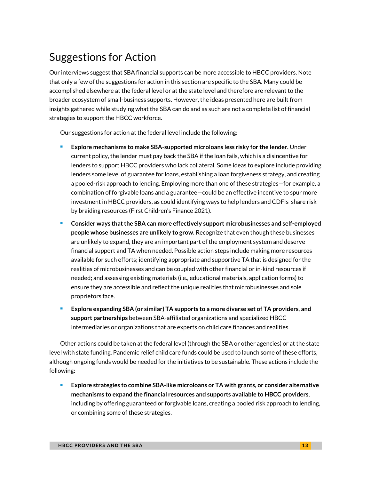# Suggestions for Action

Our interviews suggest that SBA financial supports can be more accessible to HBCC providers. Note that only a few of the suggestions for action in this section are specific to the SBA. Many could be accomplished elsewhere at the federal level or at the state level and therefore are relevant to the broader ecosystem of small-business supports. However, the ideas presented here are built from insights gathered while studying what the SBA can do and as such are not a complete list of financial strategies to support the HBCC workforce.

Our suggestions for action at the federal level include the following:

- **Explore mechanisms to make SBA-supported microloans less risky for the lender.** Under current policy, the lender must pay back the SBA if the loan fails, which is a disincentive for lenders to support HBCC providers who lack collateral. Some ideas to explore include providing lenders some level of guarantee for loans, establishing a loan forgiveness strategy, and creating a pooled-risk approach to lending. Employing more than one of these strategies—for example, a combination of forgivable loans and a guarantee—could be an effective incentive to spur more investment in HBCC providers, as could identifying ways to help lenders and CDFIs share risk by braiding resources (First Children's Finance 2021).
- Consider ways that the SBA can more effectively support microbusinesses and self-employed **people whose businesses are unlikely to grow.** Recognize that even though these businesses are unlikely to expand, they are an important part of the employment system and deserve financial support and TA when needed. Possible action steps include making more resources available for such efforts; identifying appropriate and supportive TA that is designed for the realities of microbusinesses and can be coupled with other financial or in-kind resources if needed; and assessing existing materials (i.e., educational materials, application forms) to ensure they are accessible and reflect the unique realities that microbusinesses and sole proprietors face.
- **Explore expanding SBA (or similar) TA supports to a more diverse set of TA providers**, **and support partnerships** between SBA-affiliated organizations and specialized HBCC intermediaries or organizations that are experts on child care finances and realities.

Other actions could be taken at the federal level (through the SBA or other agencies) or at the state level with state funding. Pandemic relief child care funds could be used to launch some of these efforts, although ongoing funds would be needed for the initiatives to be sustainable. These actions include the following:

 **Explore strategies to combine SBA-like microloans or TA with grants, or consider alternative mechanisms to expand the financial resources and supports available to HBCC providers**, including by offering guaranteed or forgivable loans, creating a pooled risk approach to lending, or combining some of these strategies.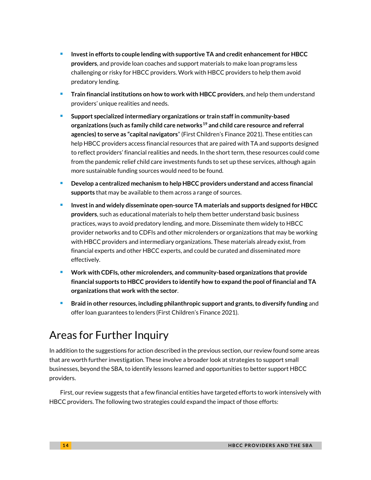- **Invest in efforts to couple lending with supportive TA and credit enhancement for HBCC providers**, and provide loan coaches and support materials to make loan programs less challenging or risky for HBCC providers. Work with HBCC providers to help them avoid predatory lending.
- **Train financial institutions on how to work with HBCC providers**, and help them understand providers' unique realities and needs.
- **Support specialized intermediary organizations or train staff in community-based organizations (such as family child care networks[19](#page-15-18) and child care resource and referral agencies) to serve as "capital navigators**" (First Children's Finance 2021). These entities can help HBCC providers access financial resources that are paired with TA and supports designed to reflect providers' financial realities and needs. In the short term, these resources could come from the pandemic relief child care investments funds to set up these services, although again more sustainable funding sources would need to be found.
- **Develop a centralized mechanism to help HBCC providers understand and access financial supports** that may be available to them across a range of sources.
- **Invest in and widely disseminate open-source TA materials and supports designed for HBCC providers**, such as educational materials to help them better understand basic business practices, ways to avoid predatory lending, and more. Disseminate them widely to HBCC provider networks and to CDFIs and other microlenders or organizations that may be working with HBCC providers and intermediary organizations. These materials already exist, from financial experts and other HBCC experts, and could be curated and disseminated more effectively.
- **Work with CDFIs, other microlenders, and community-based organizations that provide financial supports to HBCC providers to identify how to expand the pool of financial and TA organizations that work with the sector**.
- **Braid in other resources, including philanthropic support and grants, to diversify funding** and offer loan guarantees to lenders (First Children's Finance 2021).

# Areas for Further Inquiry

In addition to the suggestions for action described in the previous section, our review found some areas that are worth further investigation. These involve a broader look at strategies to support small businesses, beyond the SBA, to identify lessons learned and opportunities to better support HBCC providers.

First, our review suggests that a few financial entities have targeted efforts to work intensively with HBCC providers. The following two strategies could expand the impact of those efforts: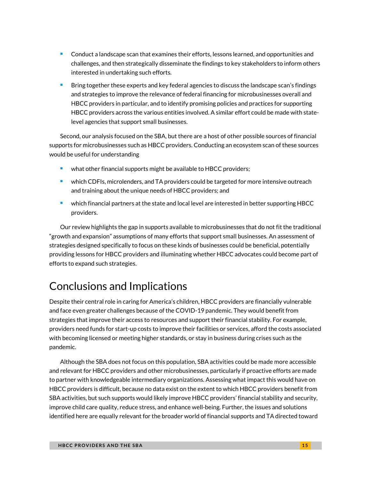- **Conduct a landscape scan that examines their efforts, lessons learned, and opportunities and** challenges, and then strategically disseminate the findings to key stakeholders to inform others interested in undertaking such efforts.
- Bring together these experts and key federal agencies to discuss the landscape scan's findings and strategies to improve the relevance of federal financing for microbusinesses overall and HBCC providers in particular, and to identify promising policies and practices for supporting HBCC providers across the various entities involved. A similar effort could be made with statelevel agencies that support small businesses.

Second, our analysis focused on the SBA, but there are a host of other possible sources of financial supports for microbusinesses such as HBCC providers. Conducting an ecosystem scan of these sources would be useful for understanding

- what other financial supports might be available to HBCC providers;
- **•** which CDFIs, microlenders, and TA providers could be targeted for more intensive outreach and training about the unique needs of HBCC providers; and
- which financial partners at the state and local level are interested in better supporting HBCC providers.

Our review highlights the gap in supports available to microbusinesses that do not fit the traditional "growth and expansion" assumptions of many efforts that support small businesses. An assessment of strategies designed specifically to focus on these kinds of businesses could be beneficial, potentially providing lessons for HBCC providers and illuminating whether HBCC advocates could become part of efforts to expand such strategies.

# Conclusions and Implications

Despite their central role in caring for America's children, HBCC providers are financially vulnerable and face even greater challenges because of the COVID-19 pandemic. They would benefit from strategies that improve their access to resources and support their financial stability. For example, providers need funds for start-up costs to improve their facilities or services, afford the costs associated with becoming licensed or meeting higher standards, or stay in business during crises such as the pandemic.

Although the SBA does not focus on this population, SBA activities could be made more accessible and relevant for HBCC providers and other microbusinesses, particularly if proactive efforts are made to partner with knowledgeable intermediary organizations. Assessing what impact this would have on HBCC providers is difficult, because no data exist on the extent to which HBCC providers benefit from SBA activities, but such supports would likely improve HBCC providers' financial stability and security, improve child care quality, reduce stress, and enhance well-being. Further, the issues and solutions identified here are equally relevant for the broader world of financial supports and TA directed toward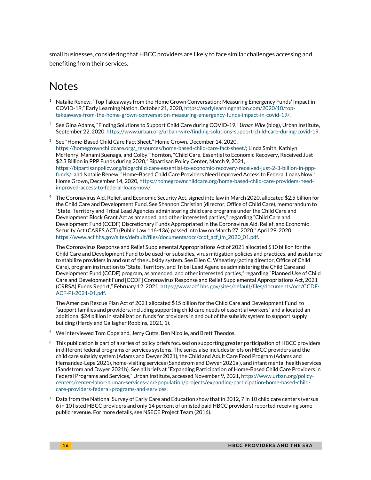<span id="page-15-7"></span>small businesses, considering that HBCC providers are likely to face similar challenges accessing and benefiting from their services.

### <span id="page-15-8"></span>Notes

- <span id="page-15-9"></span><span id="page-15-0"></span> $^1$  Natalie Renew, "Top Takeaways from the Home Grown Conversation: Measuring Emergency Funds' Impact in COVID-19," Early Learning Nation, October 21, 2020[, https://earlylearningnation.com/2020/10/top](https://earlylearningnation.com/2020/10/top-takeaways-from-the-home-grown-conversation-measuring-emergency-funds-impact-in-covid-19/)[takeaways-from-the-home-grown-conversation-measuring-emergency-funds-impact-in-covid-19/.](https://earlylearningnation.com/2020/10/top-takeaways-from-the-home-grown-conversation-measuring-emergency-funds-impact-in-covid-19/)
- <span id="page-15-11"></span><span id="page-15-10"></span><span id="page-15-1"></span><sup>2</sup> See Gina Adams, "Finding Solutions to Support Child Care during COVID-19," *Urban Wire* (blog), Urban Institute, September 22, 2020[, https://www.urban.org/urban-wire/finding-solutions-support-child-care-during-covid-19.](https://www.urban.org/urban-wire/finding-solutions-support-child-care-during-covid-19)
- <span id="page-15-2"></span><sup>3</sup> See "Home-Based Child Care Fact Sheet," Home Grown, December 14, 2020, [https://homegrownchildcare.org/\\_resources/home-based-child-care-fact-sheet/;](https://homegrownchildcare.org/_resources/home-based-child-care-fact-sheet/) Linda Smith, Kathlyn McHenry, Manami Suenaga, and Colby Thornton, "Child Care, Essential to Economic Recovery, Received Just \$2.3 Billion in PPP Funds during 2020," Bipartisan Policy Center, March 9, 2021, [https://bipartisanpolicy.org/blog/child-care-essential-to-economic-recovery-received-just-2-3-billion-in-ppp](https://bipartisanpolicy.org/blog/child-care-essential-to-economic-recovery-received-just-2-3-billion-in-ppp-funds/)[funds/;](https://bipartisanpolicy.org/blog/child-care-essential-to-economic-recovery-received-just-2-3-billion-in-ppp-funds/) and Natalie Renew, "Home-Based Child Care Providers Need Improved Access to Federal Loans Now," Home Grown, December 14, 2020[, https://homegrownchildcare.org/home-based-child-care-providers-need](https://homegrownchildcare.org/home-based-child-care-providers-need-improved-access-to-federal-loans-now/)[improved-access-to-federal-loans-now/.](https://homegrownchildcare.org/home-based-child-care-providers-need-improved-access-to-federal-loans-now/)
- <span id="page-15-13"></span><span id="page-15-12"></span><span id="page-15-3"></span><sup>4</sup> The Coronavirus Aid, Relief, and Economic Security Act, signed into law in March 2020, allocated \$2.5 billion for the Child Care and Development Fund. See Shannon Christian (director, Office of Child Care), memorandum to "State, Territory and Tribal Lead Agencies administering child care programs under the Child Care and Development Block Grant Act as amended, and other interested parties," regarding "Child Care and Development Fund (CCDF) Discretionary Funds Appropriated in the Coronavirus Aid, Relief, and Economic Security Act (CARES ACT) (Public Law 116-136) passed into law on March 27, 2020," April 29, 2020, [https://www.acf.hhs.gov/sites/default/files/documents/occ/ccdf\\_acf\\_im\\_2020\\_01.pdf.](https://www.acf.hhs.gov/sites/default/files/documents/occ/ccdf_acf_im_2020_01.pdf)

<span id="page-15-15"></span><span id="page-15-14"></span>The Coronavirus Response and Relief Supplemental Appropriations Act of 2021 allocated \$10 billion for the Child Care and Development Fund to be used for subsidies, virus mitigation policies and practices, and assistance to stabilize providers in and out of the subsidy system. See Ellen C. Wheatley (acting director, Office of Child Care), program instruction to "State, Territory, and Tribal Lead Agencies administering the Child Care and Development Fund (CCDF) program, as amended, and other interested parties," regarding "Planned Use of Child Care and Development Fund [CCDF] Coronavirus Response and Relief Supplemental Appropriations Act, 2021 (CRRSA) Funds Report," February 12, 2021[, https://www.acf.hhs.gov/sites/default/files/documents/occ/CCDF-](https://www.acf.hhs.gov/sites/default/files/documents/occ/CCDF-ACF-PI-2021-01.pdf)[ACF-PI-2021-01.pdf.](https://www.acf.hhs.gov/sites/default/files/documents/occ/CCDF-ACF-PI-2021-01.pdf)

<span id="page-15-16"></span>The American Rescue Plan Act of 2021 allocated \$15 billion for the Child Care and Development Fund to "support families and providers, including supporting child care needs of essential workers" and allocated an additional \$24 billion in stabilization funds for providers in and out of the subsidy system to support supply building (Hardy and Gallagher Robbins, 2021, 1).

- <span id="page-15-4"></span><sup>5</sup> We interviewed Tom Copeland, Jerry Cutts, Ben Nicolie, and Brett Theodos.
- <span id="page-15-17"></span><span id="page-15-5"></span> $6$  This publication is part of a series of policy briefs focused on supporting greater participation of HBCC providers in different federal programs or services systems. The series also includes briefs on HBCC providers and the child care subsidy system (Adams and Dwyer 2021), the Child and Adult Care Food Program (Adams and Hernandez-Lepe 2021), home-visiting services (Sandstrom and Dwyer 2021a ), and infant mental health services (Sandstrom and Dwyer 2021b). See all briefs at "Expanding Participation of Home-Based Child Care Providers in Federal Programs and Services," Urban Institute, accessed November 9, 2021, [https://www.urban.org/policy](https://www.urban.org/policy-centers/center-labor-human-services-and-population/projects/expanding-participation-home-based-child-care-providers-federal-programs-and-services)[centers/center-labor-human-services-and-population/projects/expanding-participation-home-based-child](https://www.urban.org/policy-centers/center-labor-human-services-and-population/projects/expanding-participation-home-based-child-care-providers-federal-programs-and-services)[care-providers-federal-programs-and-services.](https://www.urban.org/policy-centers/center-labor-human-services-and-population/projects/expanding-participation-home-based-child-care-providers-federal-programs-and-services)
- <span id="page-15-18"></span><span id="page-15-6"></span> $^7$  Data from the National Survey of Early Care and Education show that in 2012, 7 in 10 child care centers (versus 6 in 10 listed HBCC providers and only 14 percent of unlisted paid HBCC providers) reported receiving some public revenue. For more details, see NSECE Project Team (2016).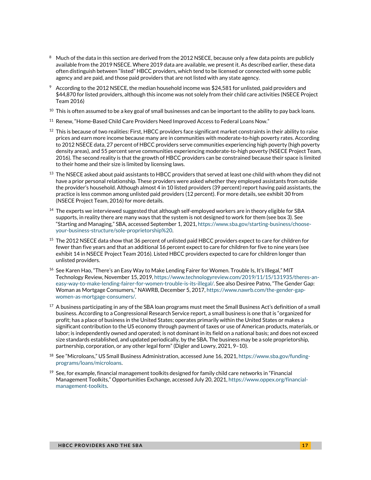- $8 \text{ Much of the data in this section are derived from the 2012 NSEC, because only a few data points are publicly.}$ available from the 2019 NSECE. Where 2019 data are available, we present it. As described earlier, these data often distinguish between "listed" HBCC providers, which tend to be licensed or connected with some public agency and are paid, and those paid providers that are not listed with any state agency.
- $9$  According to the 2012 NSECE, the median household income was \$24,581 for unlisted, paid providers and \$44,870 for listed providers, although this income was not solely from their child care activities (NSECE Project Team 2016)
- $^{10}$  This is often assumed to be a key goal of small businesses and can be important to the ability to pay back loans.
- <sup>11</sup> Renew, "Home-Based Child Care Providers Need Improved Access to Federal Loans Now."
- $^{12}$  This is because of two realities: First, HBCC providers face significant market constraints in their ability to raise prices and earn more income because many are in communities with moderate-to-high poverty rates. According to 2012 NSECE data, 27 percent of HBCC providers serve communities experiencing high poverty (high poverty density areas), and 55 percent serve communities experiencing moderate-to-high poverty (NSECE Project Team, 2016). The second reality is that the growth of HBCC providers can be constrained because their space is limited to their home and their size is limited by licensing laws.
- $^{13}$  The NSECE asked about paid assistants to HBCC providers that served at least one child with whom they did not have a prior personal relationship. These providers were asked whether they employed assistants from outside the provider's household. Although almost 4 in 10 listed providers (39 percent) report having paid assistants, the practice is less common among unlisted paid providers (12 percent). For more details, see exhibit 30 from (NSECE Project Team, 2016) for more details.
- <sup>14</sup> The experts we interviewed suggested that although self-employed workers are in theory eligible for SBA supports, in reality there are many ways that the system is not designed to work for them (see box 3). See "Starting and Managing," SBA, accessed September 1, 2021, [https://www.sba.gov/starting-business/choose](https://www.sba.gov/starting-business/choose-your-business-structure/sole-proprietorship)[your-business-structure/sole-proprietorship%20.](https://www.sba.gov/starting-business/choose-your-business-structure/sole-proprietorship)
- <sup>15</sup> The 2012 NSECE data show that 36 percent of unlisted paid HBCC providers expect to care for children for fewer than five years and that an additional 16 percent expect to care for children for five to nine years (see exhibit 14 in NSECE Project Team 2016). Listed HBCC providers expected to care for children longer than unlisted providers.
- <sup>16</sup> See Karen Hao, "There's an Easy Way to Make Lending Fairer for Women. Trouble Is, It's Illegal," MIT Technology Review, November 15, 2019, [https://www.technologyreview.com/2019/11/15/131935/theres-an](https://www.technologyreview.com/2019/11/15/131935/theres-an-easy-way-to-make-lending-fairer-for-women-trouble-is-its-illegal/)[easy-way-to-make-lending-fairer-for-women-trouble-is-its-illegal/.](https://www.technologyreview.com/2019/11/15/131935/theres-an-easy-way-to-make-lending-fairer-for-women-trouble-is-its-illegal/) See also Desiree Patno, "The Gender Gap: Woman as Mortgage Consumers," NAWRB, December 5, 2017, [https://www.nawrb.com/the-gender-gap](https://www.nawrb.com/the-gender-gap-women-as-mortgage-consumers/)[women-as-mortgage-consumers/.](https://www.nawrb.com/the-gender-gap-women-as-mortgage-consumers/)
- $^{17}$  A business participating in any of the SBA loan programs must meet the Small Business Act's definition of a small business. According to a Congressional Research Service report, a small business is one that is "organized for profit; has a place of business in the United States; operates primarily within the United States or makes a significant contribution to the US economy through payment of taxes or use of American products, materials, or labor; is independently owned and operated; is not dominant in its field on a national basis; and does not exceed size standards established, and updated periodically, by the SBA. The business may be a sole proprietorship, partnership, corporation, or any other legal form" (Digler and Lowry, 2021, 9–10).
- <sup>18</sup> See "Microloans," US Small Business Administration, accessed June 16, 2021[, https://www.sba.gov/funding](https://www.sba.gov/funding-programs/loans/microloans#:%7E:text=The%20microloan%20program%20provides%20loans,average%20microloan%20is%20about%20%2413%2C000.&text=These%20intermediaries%20administer%20the%20Microloan%20program%20for%20eligible%20borrowers)[programs/loans/microloans.](https://www.sba.gov/funding-programs/loans/microloans#:%7E:text=The%20microloan%20program%20provides%20loans,average%20microloan%20is%20about%20%2413%2C000.&text=These%20intermediaries%20administer%20the%20Microloan%20program%20for%20eligible%20borrowers)
- $19$  See, for example, financial management toolkits designed for family child care networks in "Financial Management Toolkits," Opportunities Exchange, accessed July 20, 2021[, https://www.oppex.org/financial](https://www.oppex.org/financial-management-toolkits)[management-toolkits.](https://www.oppex.org/financial-management-toolkits)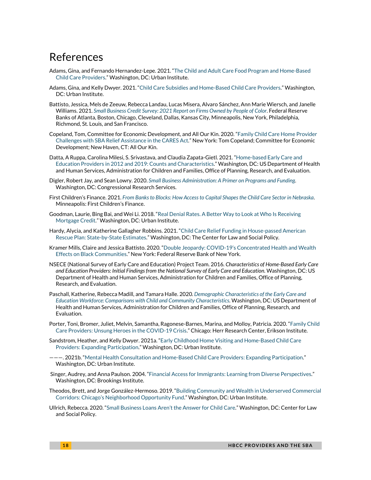### References

- Adams, Gina, and Fernando Hernandez-Lepe. 2021. ["The Child and Adult Care Food Program and Home-Based](https://www.urban.org/research/publication/child-and-adult-care-food-program-and-home-based-child-care-providers)  [Child Care Providers."](https://www.urban.org/research/publication/child-and-adult-care-food-program-and-home-based-child-care-providers) Washington, DC: Urban Institute.
- Adams, Gina, and Kelly Dwyer. 2021. ["Child Care Subsidies and Home-Based Child Care Providers.](https://www.urban.org/research/publication/child-care-subsidies-and-home-based-child-care-providers)" Washington, DC: Urban Institute.
- Battisto, Jessica, Mels de Zeeuw, Rebecca Landau, Lucas Misera, Alvaro Sánchez, Ann Marie Wiersch, and Janelle Williams. 2021. *Small Business Credit Survey: [2021 Report on Firms Owned by People of Color](https://www.fedsmallbusiness.org/medialibrary/FedSmallBusiness/files/2021/sbcs-report-on-firms-owned-by-people-of-color)*. Federal Reserve Banks of Atlanta, Boston, Chicago, Cleveland, Dallas, Kansas City, Minneapolis, New York, Philadelphia, Richmond, St. Louis, and San Francisco.
- Copeland, Tom, Committee for Economic Development, and All Our Kin. 2020. ["Family Child Care Home Provider](https://users.neo.registeredsite.com/0/8/7/11474780/assets/FCC_Provider_Challenges_with_the_CARES_Act_April_14_2020.pdf)  [Challenges with SBA Relief Assistance in the CARES Act."](https://users.neo.registeredsite.com/0/8/7/11474780/assets/FCC_Provider_Challenges_with_the_CARES_Act_April_14_2020.pdf) New York: Tom Copeland; Committee for Economic Development; New Haven, CT: All Our Kin.
- Datta, A Ruppa, Carolina Milesi, S. Srivastava, and Claudia Zapata-Gietl. 2021. ["Home-based Early Care and](https://www.acf.hhs.gov/opre/report/home-based-early-care-and-education-providers-2012-and-2019-counts-and-characteristics)  [Education Providers in 2012 and 2019: Counts and Characteristics."](https://www.acf.hhs.gov/opre/report/home-based-early-care-and-education-providers-2012-and-2019-counts-and-characteristics) Washington, DC: US Department of Health and Human Services, Administration for Children and Families, Office of Planning, Research, and Evaluation.
- Digler, Robert Jay, and Sean Lowry. 2020. *[Small Business Administration: A Primer on Programs and Funding](https://crsreports.congress.gov/product/pdf/RL/RL33243/110)*. Washington, DC: Congressional Research Services.
- First Children's Finance. 2021. *[From Banks to Blocks: How Access to Capital Shapes the Child Care Sector in Nebraska](https://www.firstchildrensfinance.org/success-stories/fcf-analyzes-financing-in-nebraska/)*. Minneapolis: First Children's Finance.
- Goodman, Laurie, Bing Bai, and Wei Li. 2018. ["Real Denial Rates. A Better Way to Look at Who Is Receiving](https://www.urban.org/research/publication/real-denial-rates)  [Mortgage Credit."](https://www.urban.org/research/publication/real-denial-rates) Washington, DC: Urban Institute.
- Hardy, Alycia, and Katherine Gallagher Robbins. 2021. ["Child Care Relief Funding in House-passed American](https://www.clasp.org/sites/default/files/publications/2021/03/2021_American%20Rescue%20Plan%20CC%20Relief%20Funding%20State-by-State%20Estimates_updated.pdf)  [Rescue Plan: State-by-State Estimates."](https://www.clasp.org/sites/default/files/publications/2021/03/2021_American%20Rescue%20Plan%20CC%20Relief%20Funding%20State-by-State%20Estimates_updated.pdf) Washington, DC: The Center for Law and Social Policy.
- Kramer Mills, Claire and Jessica Battisto. 2020. ["Double Jeopardy: COVID-19's Concentrated Health and Wealth](https://www.newyorkfed.org/medialibrary/media/smallbusiness/DoubleJeopardy_COVID19andBlackOwnedBusinesses)  [Effects on Black Communities.](https://www.newyorkfed.org/medialibrary/media/smallbusiness/DoubleJeopardy_COVID19andBlackOwnedBusinesses)" New York: Federal Reserve Bank of New York.
- NSECE (National Survey of Early Care and Education) Project Team. 2016. *Characteristics of Home-Based Early Care and Education Providers: Initial Findings from the National Survey of Early Care and Education*. Washington, DC: US Department of Health and Human Services, Administration for Children and Families, Office of Planning, Research, and Evaluation.
- Paschall, Katherine, Rebecca Madill, and Tamara Halle. 2020. *[Demographic Characteristics of the Early Care and](https://www.acf.hhs.gov/sites/default/files/documents/opre/demographic-characteristics-ECE-dec-2020.pdf)  [Education Workforce: Comparisons with Child and Community Characteristics](https://www.acf.hhs.gov/sites/default/files/documents/opre/demographic-characteristics-ECE-dec-2020.pdf)*. Washington, DC: US Department of Health and Human Services, Administration for Children and Families, Office of Planning, Research, and Evaluation.
- Porter, Toni, Bromer, Juliet, Melvin, Samantha, Ragonese-Barnes, Marina, and Molloy, Patricia. 2020. ["Family Child](https://www.erikson.edu/wp-content/uploads/2020/09/Family-Child-Care-Providers_Unsung-Heroes-in-the-COVID-19-Crisis.pdf)  [Care Providers: Unsung Heroes in the COVID-19 Crisis.](https://www.erikson.edu/wp-content/uploads/2020/09/Family-Child-Care-Providers_Unsung-Heroes-in-the-COVID-19-Crisis.pdf)" Chicago: Herr Research Center, Erikson Institute.
- Sandstrom, Heather, and Kelly Dwyer. 2021a. ["Early Childhood Home Visiting and Home-Based Child Care](https://www.urban.org/research/publication/early-childhood-home-visiting-and-home-based-child-care-providers-expanding-participation)  Providers: [Expanding Participation."](https://www.urban.org/research/publication/early-childhood-home-visiting-and-home-based-child-care-providers-expanding-participation) Washington, DC: Urban Institute.
- ———. 2021b. ["Mental Health Consultation and Home-Based Child Care Providers:](https://www.urban.org/research/publication/mental-health-consultation-and-home-based-child-care-providers-expanding-participation) Expanding Participation." Washington, DC: Urban Institute.
- Singer, Audrey, and Anna Paulson. 2004. ["Financial Access for Immigrants: Learning from Diverse Perspectives."](https://www.brookings.edu/wp-content/uploads/2016/06/cr19.pdf) Washington, DC: Brookings Institute.
- Theodos, Brett, and Jorge González-Hermoso. 2019. ["Building Community and Wealth in Underserved Commercial](https://www.urban.org/research/publication/building-community-and-wealth-underserved-commercial-corridors-chicagos-neighborhood-opportunity-fund)  [Corridors: Chicago's Neighborhood Opportunity Fund."](https://www.urban.org/research/publication/building-community-and-wealth-underserved-commercial-corridors-chicagos-neighborhood-opportunity-fund) Washington, DC: Urban Institute.
- Ullrich, Rebecca. 2020. ["Small Business Loans Aren't the Answer for Child Care."](https://www.clasp.org/publications/fact-sheet/small-business-loans-aren-t-answer-child-care) Washington, DC: Center for Law and Social Policy.